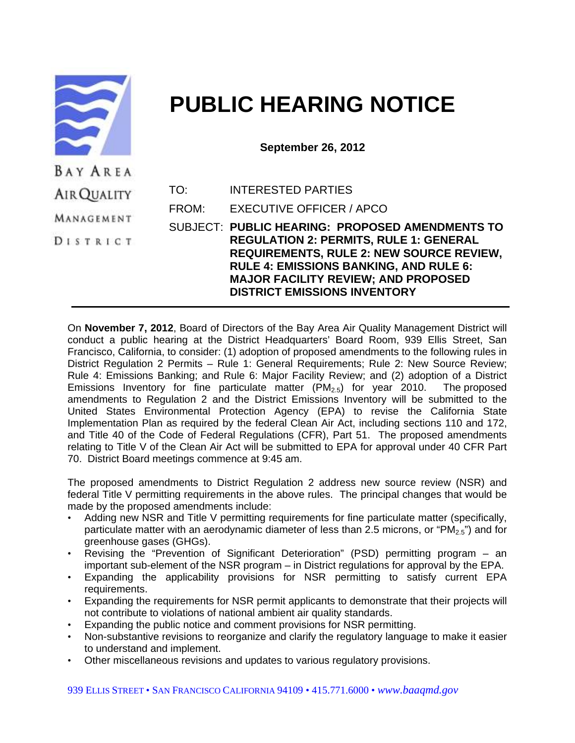

## **PUBLIC HEARING NOTICE**

**September 26, 2012** 

| .           |       |                                                 |
|-------------|-------|-------------------------------------------------|
| AIR QUALITY | TO:   | <b>INTERESTED PARTIES</b>                       |
| MANAGEMENT  | FROM: | EXECUTIVE OFFICER / APCO                        |
|             |       | SUBJECT: PUBLIC HEARING: PROPOSED AMENDMENTS TO |
| DISTRICT    |       | <b>REGULATION 2: PERMITS, RULE 1: GENERAL</b>   |
|             |       | <b>REQUIREMENTS, RULE 2: NEW SOURCE REVIEW,</b> |
|             |       | <b>RULE 4: EMISSIONS BANKING, AND RULE 6:</b>   |
|             |       | <b>MAJOR FACILITY REVIEW; AND PROPOSED</b>      |
|             |       | <b>DISTRICT EMISSIONS INVENTORY</b>             |

On **November 7, 2012**, Board of Directors of the Bay Area Air Quality Management District will conduct a public hearing at the District Headquarters' Board Room, 939 Ellis Street, San Francisco, California, to consider: (1) adoption of proposed amendments to the following rules in District Regulation 2 Permits – Rule 1: General Requirements; Rule 2: New Source Review; Rule 4: Emissions Banking; and Rule 6: Major Facility Review; and (2) adoption of a District Emissions Inventory for fine particulate matter  $(PM<sub>2.5</sub>)$  for year 2010. The proposed amendments to Regulation 2 and the District Emissions Inventory will be submitted to the United States Environmental Protection Agency (EPA) to revise the California State Implementation Plan as required by the federal Clean Air Act, including sections 110 and 172, and Title 40 of the Code of Federal Regulations (CFR), Part 51. The proposed amendments relating to Title V of the Clean Air Act will be submitted to EPA for approval under 40 CFR Part 70. District Board meetings commence at 9:45 am.

The proposed amendments to District Regulation 2 address new source review (NSR) and federal Title V permitting requirements in the above rules. The principal changes that would be made by the proposed amendments include:

- Adding new NSR and Title V permitting requirements for fine particulate matter (specifically, particulate matter with an aerodynamic diameter of less than 2.5 microns, or "PM<sub>2.5</sub>") and for greenhouse gases (GHGs).
- Revising the "Prevention of Significant Deterioration" (PSD) permitting program an important sub-element of the NSR program – in District regulations for approval by the EPA.
- Expanding the applicability provisions for NSR permitting to satisfy current EPA requirements.
- Expanding the requirements for NSR permit applicants to demonstrate that their projects will not contribute to violations of national ambient air quality standards.
- Expanding the public notice and comment provisions for NSR permitting.
- Non-substantive revisions to reorganize and clarify the regulatory language to make it easier to understand and implement.
- Other miscellaneous revisions and updates to various regulatory provisions.